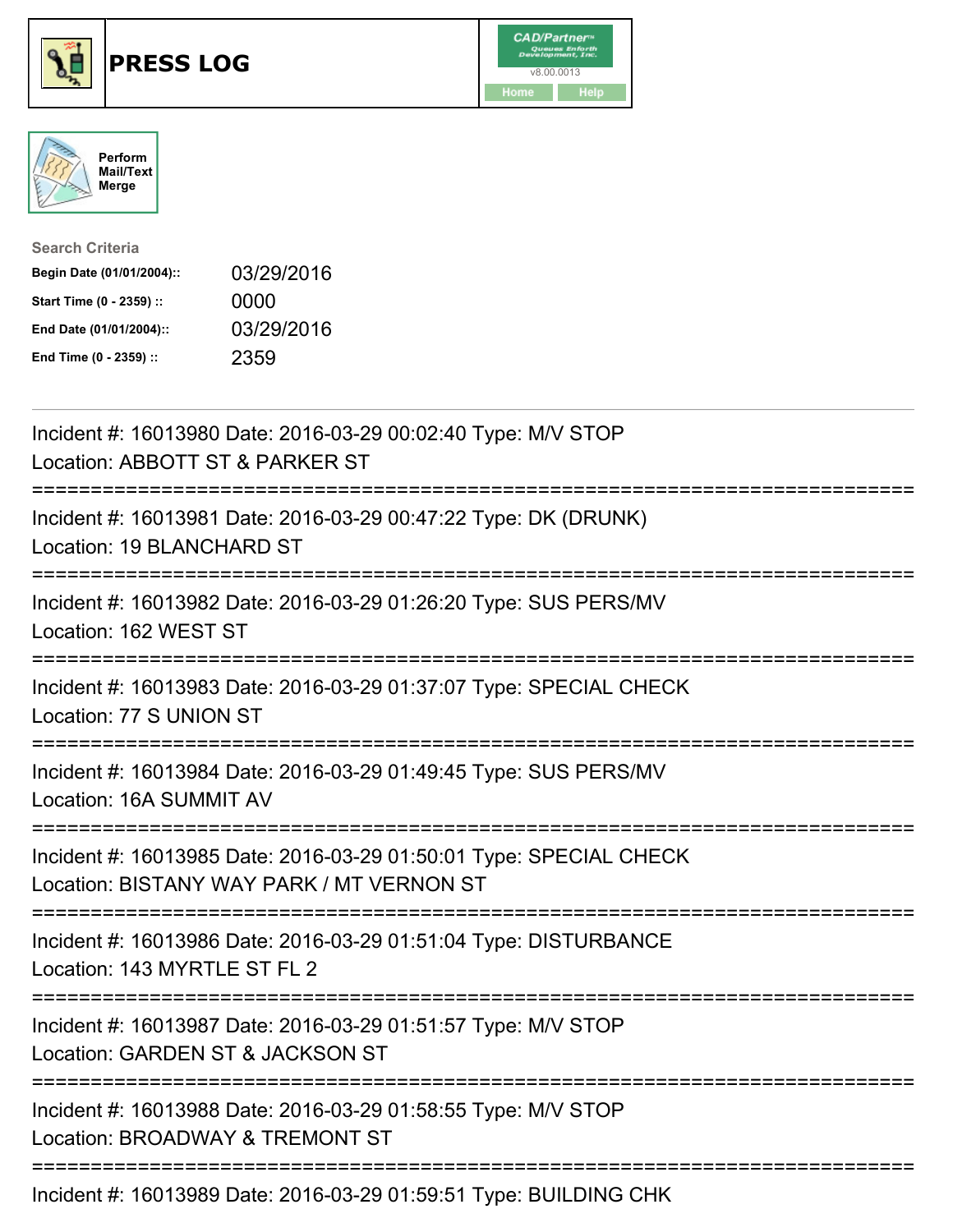





| <b>Search Criteria</b>    |            |
|---------------------------|------------|
| Begin Date (01/01/2004):: | 03/29/2016 |
| Start Time (0 - 2359) ::  | 0000       |
| End Date (01/01/2004)::   | 03/29/2016 |
| End Time (0 - 2359) ::    | 2359       |

| Incident #: 16013980 Date: 2016-03-29 00:02:40 Type: M/V STOP<br>Location: ABBOTT ST & PARKER ST                                   |
|------------------------------------------------------------------------------------------------------------------------------------|
| Incident #: 16013981 Date: 2016-03-29 00:47:22 Type: DK (DRUNK)<br>Location: 19 BLANCHARD ST                                       |
| Incident #: 16013982 Date: 2016-03-29 01:26:20 Type: SUS PERS/MV<br>Location: 162 WEST ST<br>------------------------------------- |
| Incident #: 16013983 Date: 2016-03-29 01:37:07 Type: SPECIAL CHECK<br>Location: 77 S UNION ST                                      |
| Incident #: 16013984 Date: 2016-03-29 01:49:45 Type: SUS PERS/MV<br>Location: 16A SUMMIT AV                                        |
| Incident #: 16013985 Date: 2016-03-29 01:50:01 Type: SPECIAL CHECK<br>Location: BISTANY WAY PARK / MT VERNON ST                    |
| Incident #: 16013986 Date: 2016-03-29 01:51:04 Type: DISTURBANCE<br>Location: 143 MYRTLE ST FL 2                                   |
| Incident #: 16013987 Date: 2016-03-29 01:51:57 Type: M/V STOP<br>Location: GARDEN ST & JACKSON ST                                  |
| Incident #: 16013988 Date: 2016-03-29 01:58:55 Type: M/V STOP<br>Location: BROADWAY & TREMONT ST                                   |
| $I_{\text{no}}$ and $\#$ 42042000 Deta: 2042.02.20.04 EQ E4 Tune: DUILDING CUI                                                     |

Incident #: 16013989 Date: 2016-03-29 01:59:51 Type: BUILDING CHK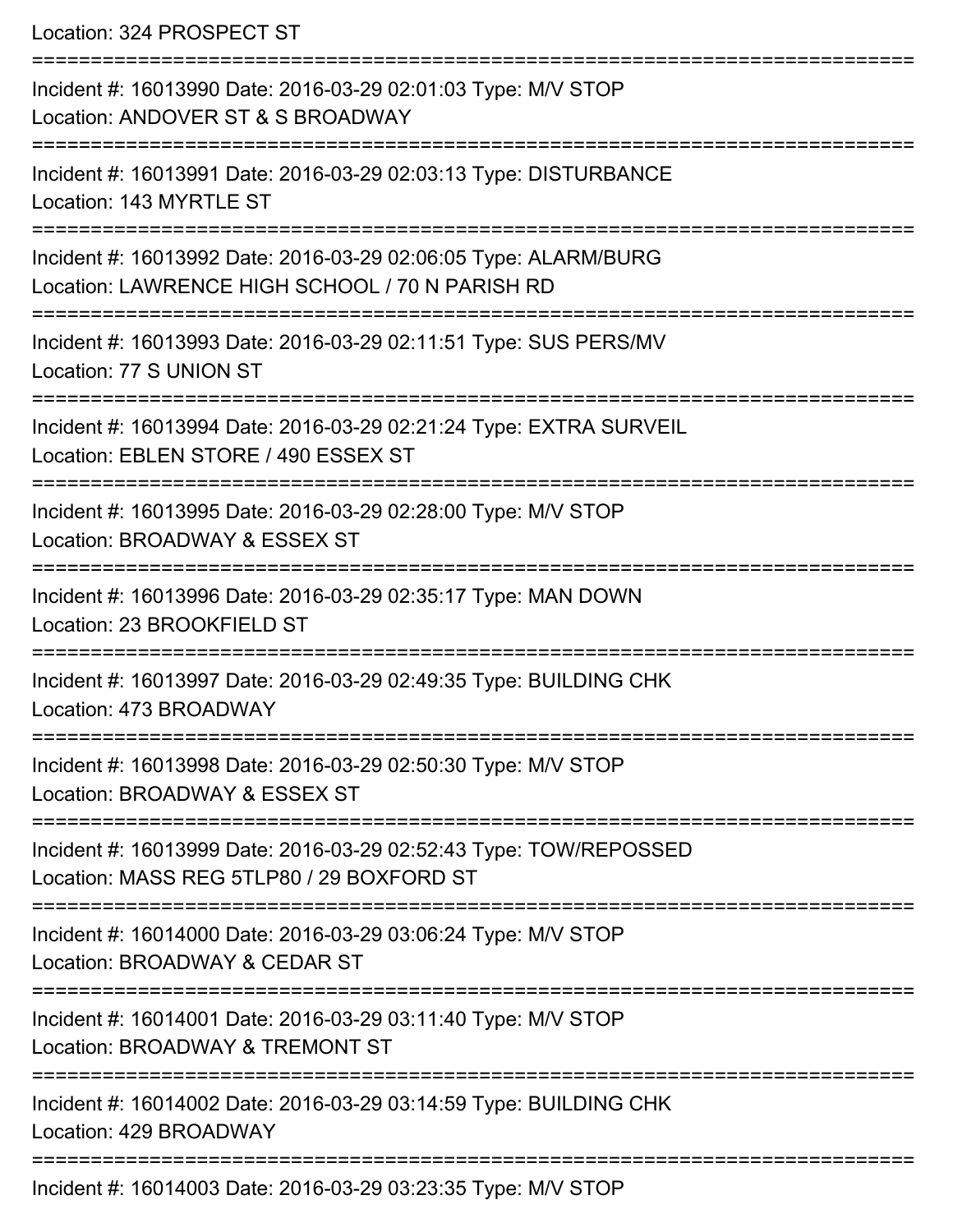Location: 324 PROSPECT ST =========================================================================== Incident #: 16013990 Date: 2016-03-29 02:01:03 Type: M/V STOP Location: ANDOVER ST & S BROADWAY =========================================================================== Incident #: 16013991 Date: 2016-03-29 02:03:13 Type: DISTURBANCE Location: 143 MYRTLE ST =========================================================================== Incident #: 16013992 Date: 2016-03-29 02:06:05 Type: ALARM/BURG Location: LAWRENCE HIGH SCHOOL / 70 N PARISH RD =========================================================================== Incident #: 16013993 Date: 2016-03-29 02:11:51 Type: SUS PERS/MV Location: 77 S UNION ST =========================================================================== Incident #: 16013994 Date: 2016-03-29 02:21:24 Type: EXTRA SURVEIL Location: EBLEN STORE / 490 ESSEX ST =========================================================================== Incident #: 16013995 Date: 2016-03-29 02:28:00 Type: M/V STOP Location: BROADWAY & ESSEX ST =========================================================================== Incident #: 16013996 Date: 2016-03-29 02:35:17 Type: MAN DOWN Location: 23 BROOKFIFLD ST =========================================================================== Incident #: 16013997 Date: 2016-03-29 02:49:35 Type: BUILDING CHK Location: 473 BROADWAY =========================================================================== Incident #: 16013998 Date: 2016-03-29 02:50:30 Type: M/V STOP Location: BROADWAY & ESSEX ST =========================================================================== Incident #: 16013999 Date: 2016-03-29 02:52:43 Type: TOW/REPOSSED Location: MASS REG 5TLP80 / 29 BOXFORD ST =========================================================================== Incident #: 16014000 Date: 2016-03-29 03:06:24 Type: M/V STOP Location: BROADWAY & CEDAR ST =========================================================================== Incident #: 16014001 Date: 2016-03-29 03:11:40 Type: M/V STOP Location: BROADWAY & TREMONT ST =========================================================================== Incident #: 16014002 Date: 2016-03-29 03:14:59 Type: BUILDING CHK Location: 429 BROADWAY ===========================================================================

Incident #: 16014003 Date: 2016-03-29 03:23:35 Type: M/V STOP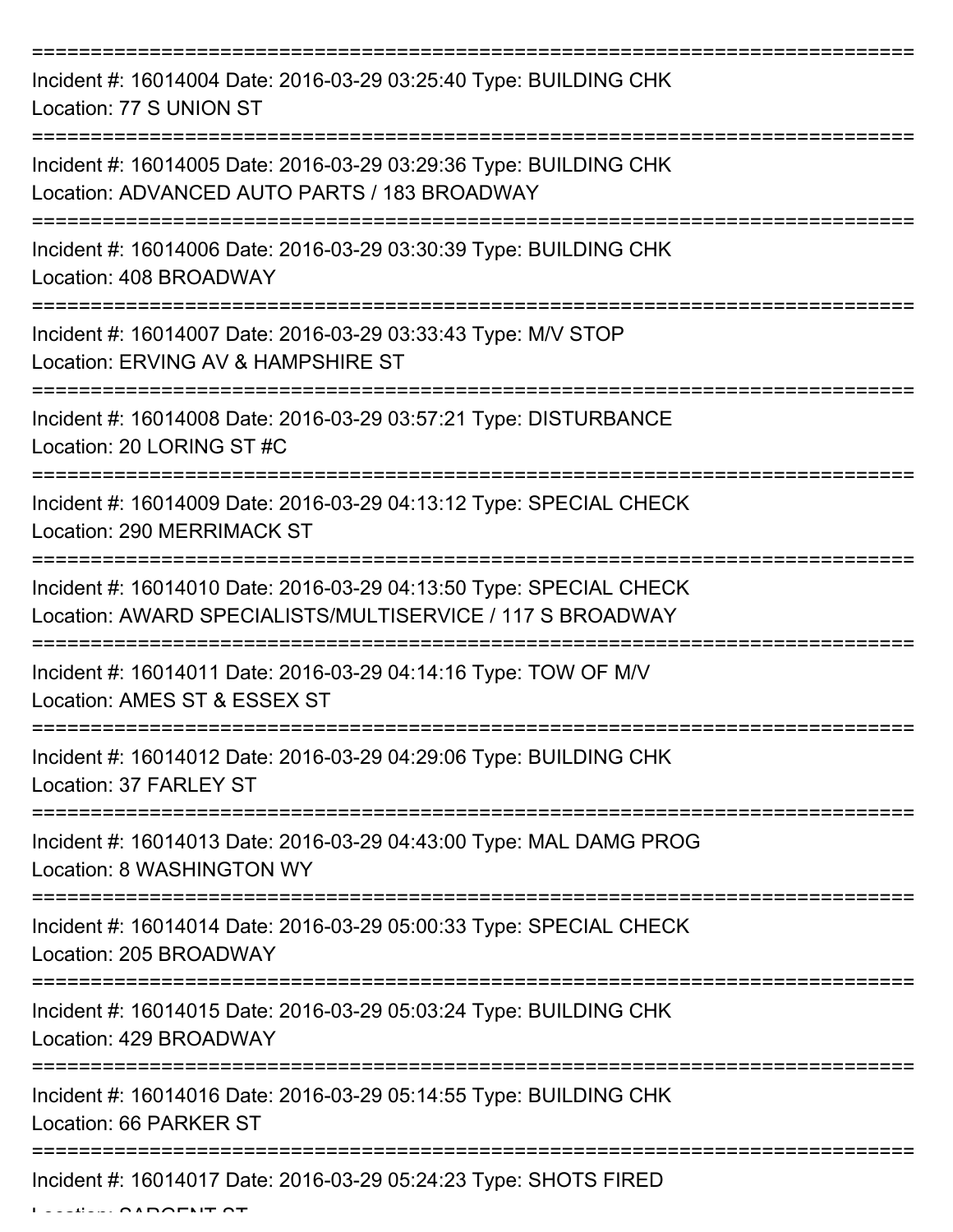| Incident #: 16014004 Date: 2016-03-29 03:25:40 Type: BUILDING CHK<br>Location: 77 S UNION ST                                         |
|--------------------------------------------------------------------------------------------------------------------------------------|
| Incident #: 16014005 Date: 2016-03-29 03:29:36 Type: BUILDING CHK<br>Location: ADVANCED AUTO PARTS / 183 BROADWAY                    |
| Incident #: 16014006 Date: 2016-03-29 03:30:39 Type: BUILDING CHK<br>Location: 408 BROADWAY                                          |
| Incident #: 16014007 Date: 2016-03-29 03:33:43 Type: M/V STOP<br>Location: ERVING AV & HAMPSHIRE ST                                  |
| Incident #: 16014008 Date: 2016-03-29 03:57:21 Type: DISTURBANCE<br>Location: 20 LORING ST #C                                        |
| Incident #: 16014009 Date: 2016-03-29 04:13:12 Type: SPECIAL CHECK<br>Location: 290 MERRIMACK ST                                     |
| Incident #: 16014010 Date: 2016-03-29 04:13:50 Type: SPECIAL CHECK<br>Location: AWARD SPECIALISTS/MULTISERVICE / 117 S BROADWAY      |
| Incident #: 16014011 Date: 2016-03-29 04:14:16 Type: TOW OF M/V<br>Location: AMES ST & ESSEX ST                                      |
| Incident #: 16014012 Date: 2016-03-29 04:29:06 Type: BUILDING CHK<br>Location: 37 FARLEY ST                                          |
| Incident #: 16014013 Date: 2016-03-29 04:43:00 Type: MAL DAMG PROG<br>Location: 8 WASHINGTON WY                                      |
| Incident #: 16014014 Date: 2016-03-29 05:00:33 Type: SPECIAL CHECK<br>Location: 205 BROADWAY                                         |
| =====================================<br>Incident #: 16014015 Date: 2016-03-29 05:03:24 Type: BUILDING CHK<br>Location: 429 BROADWAY |
| Incident #: 16014016 Date: 2016-03-29 05:14:55 Type: BUILDING CHK<br>Location: 66 PARKER ST                                          |
| Incident #: 16014017 Date: 2016-03-29 05:24:23 Type: SHOTS FIRED                                                                     |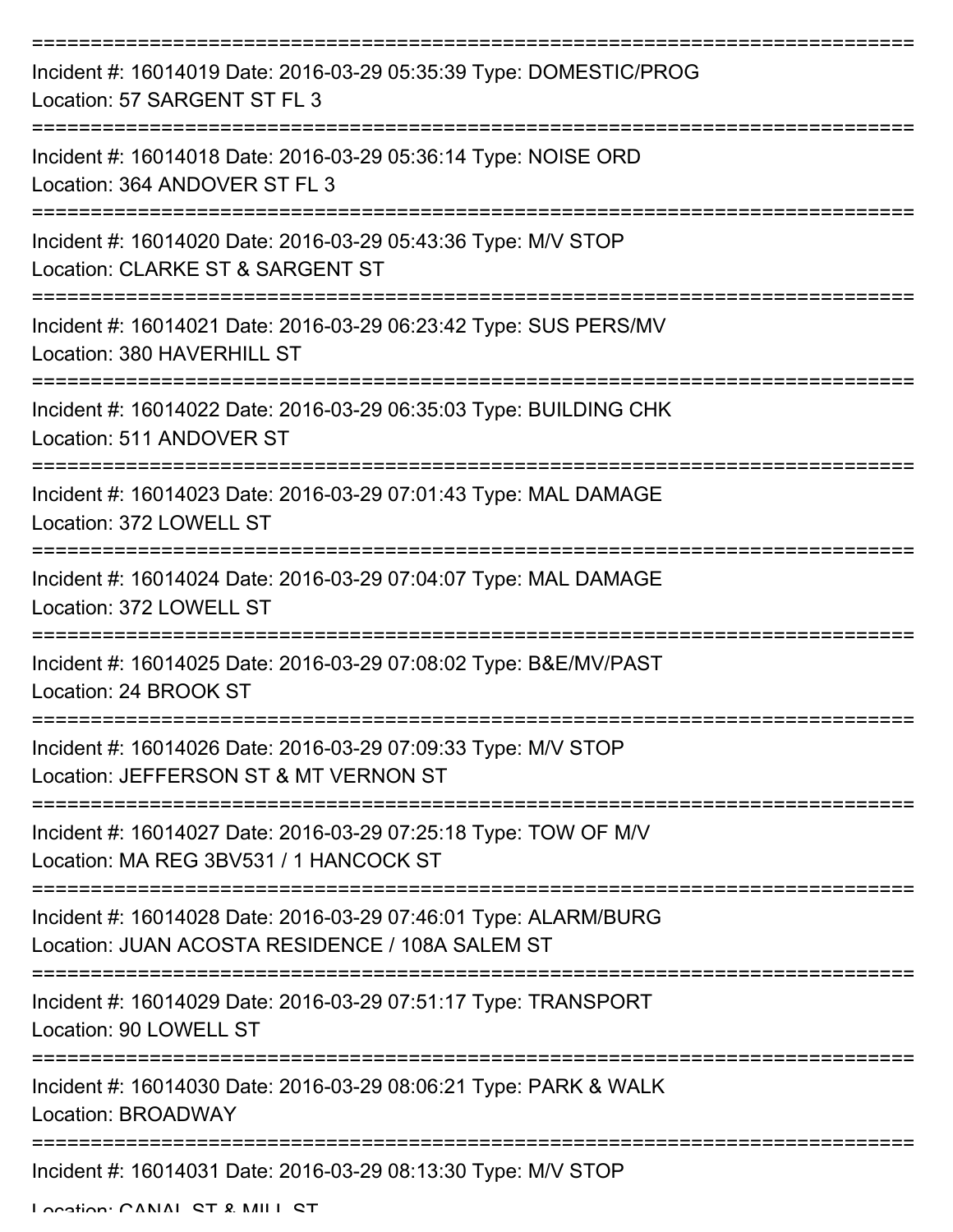| Incident #: 16014019 Date: 2016-03-29 05:35:39 Type: DOMESTIC/PROG<br>Location: 57 SARGENT ST FL 3                 |
|--------------------------------------------------------------------------------------------------------------------|
| Incident #: 16014018 Date: 2016-03-29 05:36:14 Type: NOISE ORD<br>Location: 364 ANDOVER ST FL 3                    |
| Incident #: 16014020 Date: 2016-03-29 05:43:36 Type: M/V STOP<br>Location: CLARKE ST & SARGENT ST                  |
| Incident #: 16014021 Date: 2016-03-29 06:23:42 Type: SUS PERS/MV<br>Location: 380 HAVERHILL ST                     |
| Incident #: 16014022 Date: 2016-03-29 06:35:03 Type: BUILDING CHK<br>Location: 511 ANDOVER ST                      |
| Incident #: 16014023 Date: 2016-03-29 07:01:43 Type: MAL DAMAGE<br>Location: 372 LOWELL ST                         |
| Incident #: 16014024 Date: 2016-03-29 07:04:07 Type: MAL DAMAGE<br>Location: 372 LOWELL ST                         |
| ===========<br>Incident #: 16014025 Date: 2016-03-29 07:08:02 Type: B&E/MV/PAST<br>Location: 24 BROOK ST           |
| Incident #: 16014026 Date: 2016-03-29 07:09:33 Type: M/V STOP<br>Location: JEFFERSON ST & MT VERNON ST             |
| Incident #: 16014027 Date: 2016-03-29 07:25:18 Type: TOW OF M/V<br>Location: MA REG 3BV531 / 1 HANCOCK ST          |
| Incident #: 16014028 Date: 2016-03-29 07:46:01 Type: ALARM/BURG<br>Location: JUAN ACOSTA RESIDENCE / 108A SALEM ST |
| Incident #: 16014029 Date: 2016-03-29 07:51:17 Type: TRANSPORT<br>Location: 90 LOWELL ST                           |
| Incident #: 16014030 Date: 2016-03-29 08:06:21 Type: PARK & WALK<br>Location: BROADWAY                             |
| ----------------------<br>Incident #: 16014031 Date: 2016-03-29 08:13:30 Type: M/V STOP                            |

Location: CANIAL CT & MILL CT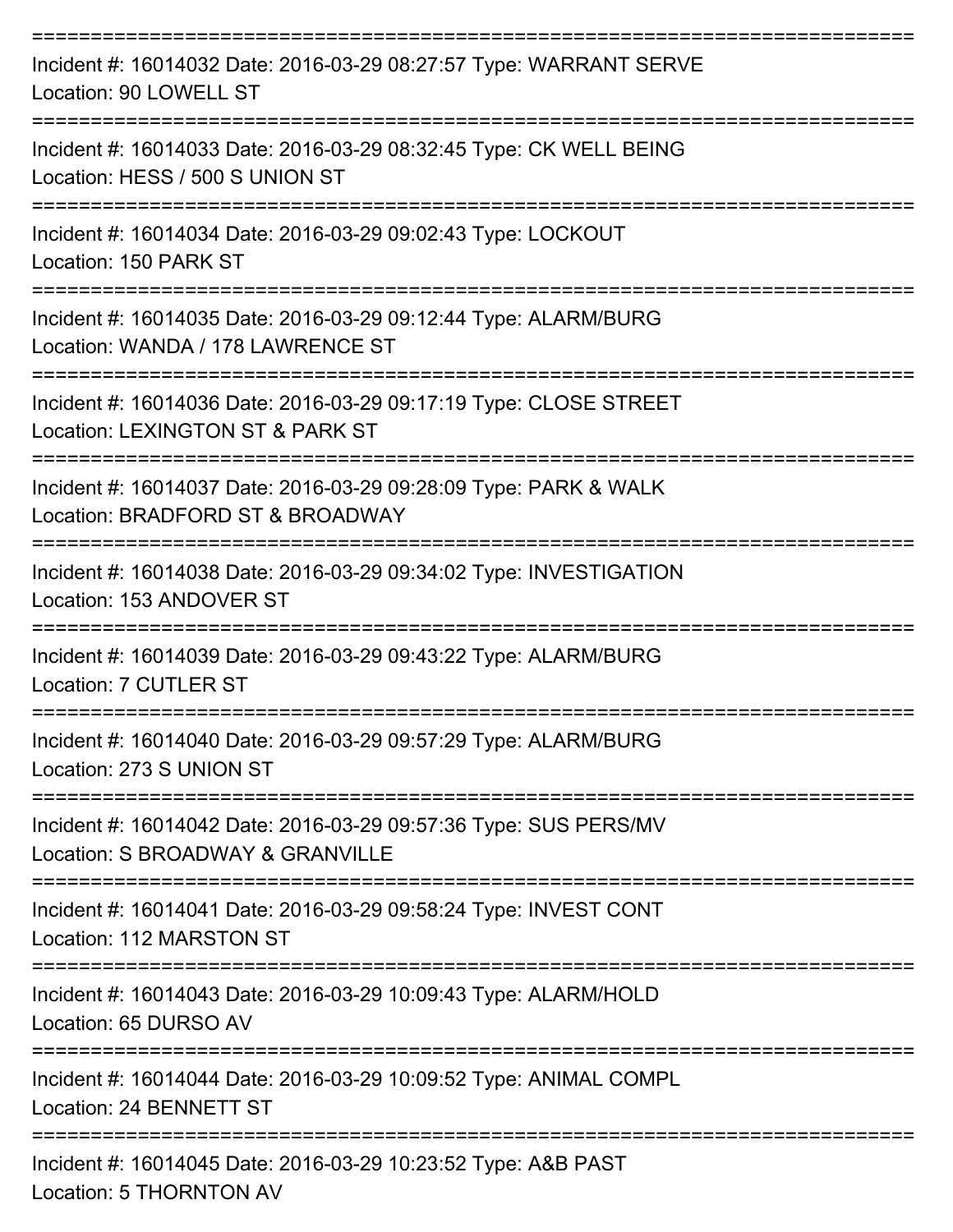| Incident #: 16014032 Date: 2016-03-29 08:27:57 Type: WARRANT SERVE<br>Location: 90 LOWELL ST                               |
|----------------------------------------------------------------------------------------------------------------------------|
| Incident #: 16014033 Date: 2016-03-29 08:32:45 Type: CK WELL BEING<br>Location: HESS / 500 S UNION ST                      |
| Incident #: 16014034 Date: 2016-03-29 09:02:43 Type: LOCKOUT<br>Location: 150 PARK ST                                      |
| Incident #: 16014035 Date: 2016-03-29 09:12:44 Type: ALARM/BURG<br>Location: WANDA / 178 LAWRENCE ST                       |
| Incident #: 16014036 Date: 2016-03-29 09:17:19 Type: CLOSE STREET<br>Location: LEXINGTON ST & PARK ST                      |
| Incident #: 16014037 Date: 2016-03-29 09:28:09 Type: PARK & WALK<br>Location: BRADFORD ST & BROADWAY                       |
| Incident #: 16014038 Date: 2016-03-29 09:34:02 Type: INVESTIGATION<br>Location: 153 ANDOVER ST                             |
| ---------------------<br>Incident #: 16014039 Date: 2016-03-29 09:43:22 Type: ALARM/BURG<br>Location: 7 CUTLER ST          |
| Incident #: 16014040 Date: 2016-03-29 09:57:29 Type: ALARM/BURG<br>Location: 273 S UNION ST                                |
| ==================<br>Incident #: 16014042 Date: 2016-03-29 09:57:36 Type: SUS PERS/MV<br>Location: S BROADWAY & GRANVILLE |
| Incident #: 16014041 Date: 2016-03-29 09:58:24 Type: INVEST CONT<br>Location: 112 MARSTON ST                               |
| Incident #: 16014043 Date: 2016-03-29 10:09:43 Type: ALARM/HOLD<br>Location: 65 DURSO AV                                   |
| Incident #: 16014044 Date: 2016-03-29 10:09:52 Type: ANIMAL COMPL<br>Location: 24 BENNETT ST                               |
| Incident #: 16014045 Date: 2016-03-29 10:23:52 Type: A&B PAST<br>Location: 5 THORNTON AV                                   |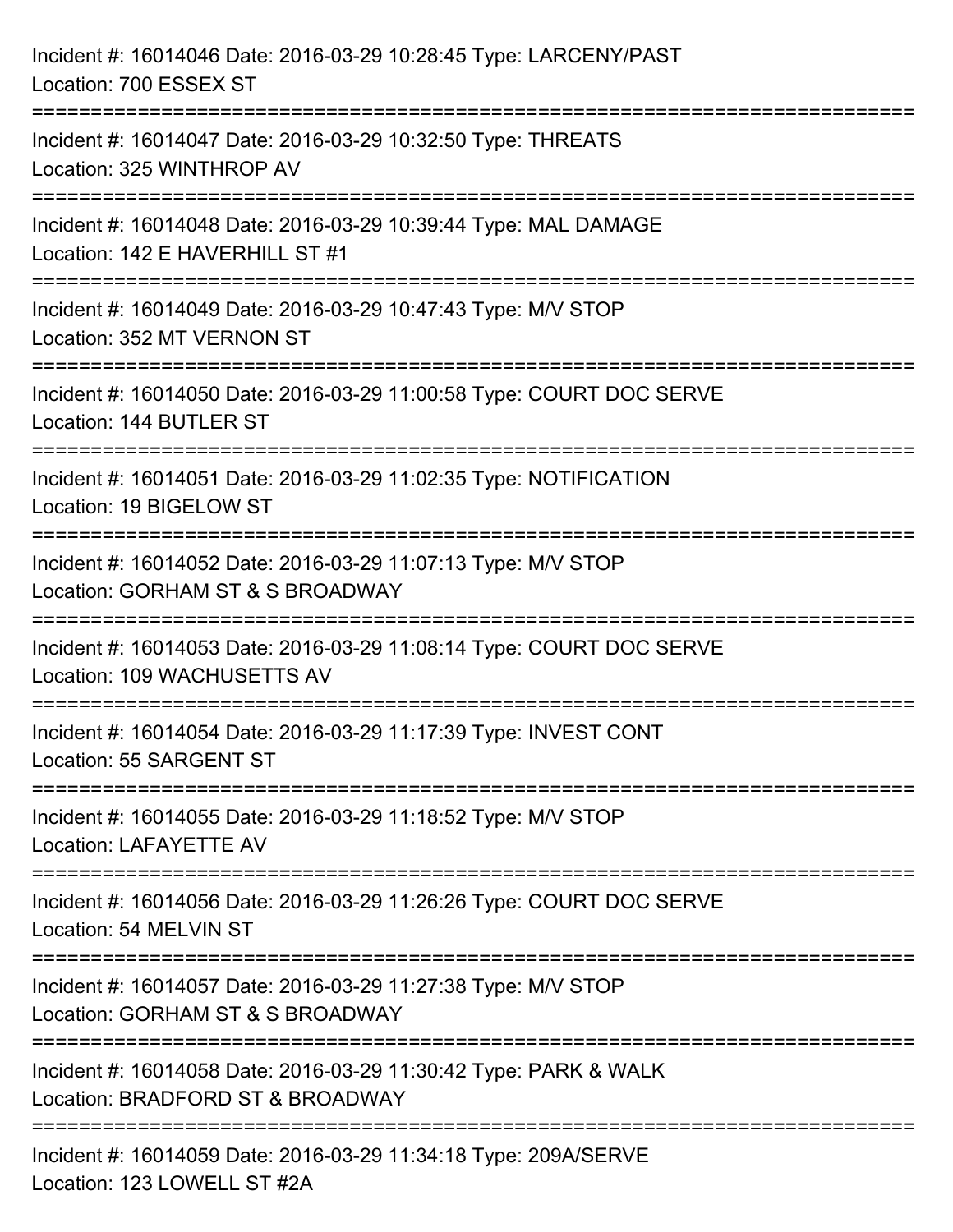| Incident #: 16014046 Date: 2016-03-29 10:28:45 Type: LARCENY/PAST<br>Location: 700 ESSEX ST                                            |
|----------------------------------------------------------------------------------------------------------------------------------------|
| Incident #: 16014047 Date: 2016-03-29 10:32:50 Type: THREATS<br>Location: 325 WINTHROP AV                                              |
| Incident #: 16014048 Date: 2016-03-29 10:39:44 Type: MAL DAMAGE<br>Location: 142 E HAVERHILL ST #1                                     |
| Incident #: 16014049 Date: 2016-03-29 10:47:43 Type: M/V STOP<br>Location: 352 MT VERNON ST                                            |
| Incident #: 16014050 Date: 2016-03-29 11:00:58 Type: COURT DOC SERVE<br>Location: 144 BUTLER ST                                        |
| :===================================<br>Incident #: 16014051 Date: 2016-03-29 11:02:35 Type: NOTIFICATION<br>Location: 19 BIGELOW ST   |
| Incident #: 16014052 Date: 2016-03-29 11:07:13 Type: M/V STOP<br>Location: GORHAM ST & S BROADWAY                                      |
| Incident #: 16014053 Date: 2016-03-29 11:08:14 Type: COURT DOC SERVE<br>Location: 109 WACHUSETTS AV                                    |
| Incident #: 16014054 Date: 2016-03-29 11:17:39 Type: INVEST CONT<br>Location: 55 SARGENT ST                                            |
| Incident #: 16014055 Date: 2016-03-29 11:18:52 Type: M/V STOP<br><b>Location: LAFAYETTE AV</b>                                         |
| Incident #: 16014056 Date: 2016-03-29 11:26:26 Type: COURT DOC SERVE<br>Location: 54 MELVIN ST                                         |
| ---------------------------------<br>Incident #: 16014057 Date: 2016-03-29 11:27:38 Type: M/V STOP<br>Location: GORHAM ST & S BROADWAY |
| Incident #: 16014058 Date: 2016-03-29 11:30:42 Type: PARK & WALK<br>Location: BRADFORD ST & BROADWAY                                   |
| Incident #: 16014059 Date: 2016-03-29 11:34:18 Type: 209A/SERVE<br>Location: 123 LOWELL ST #2A                                         |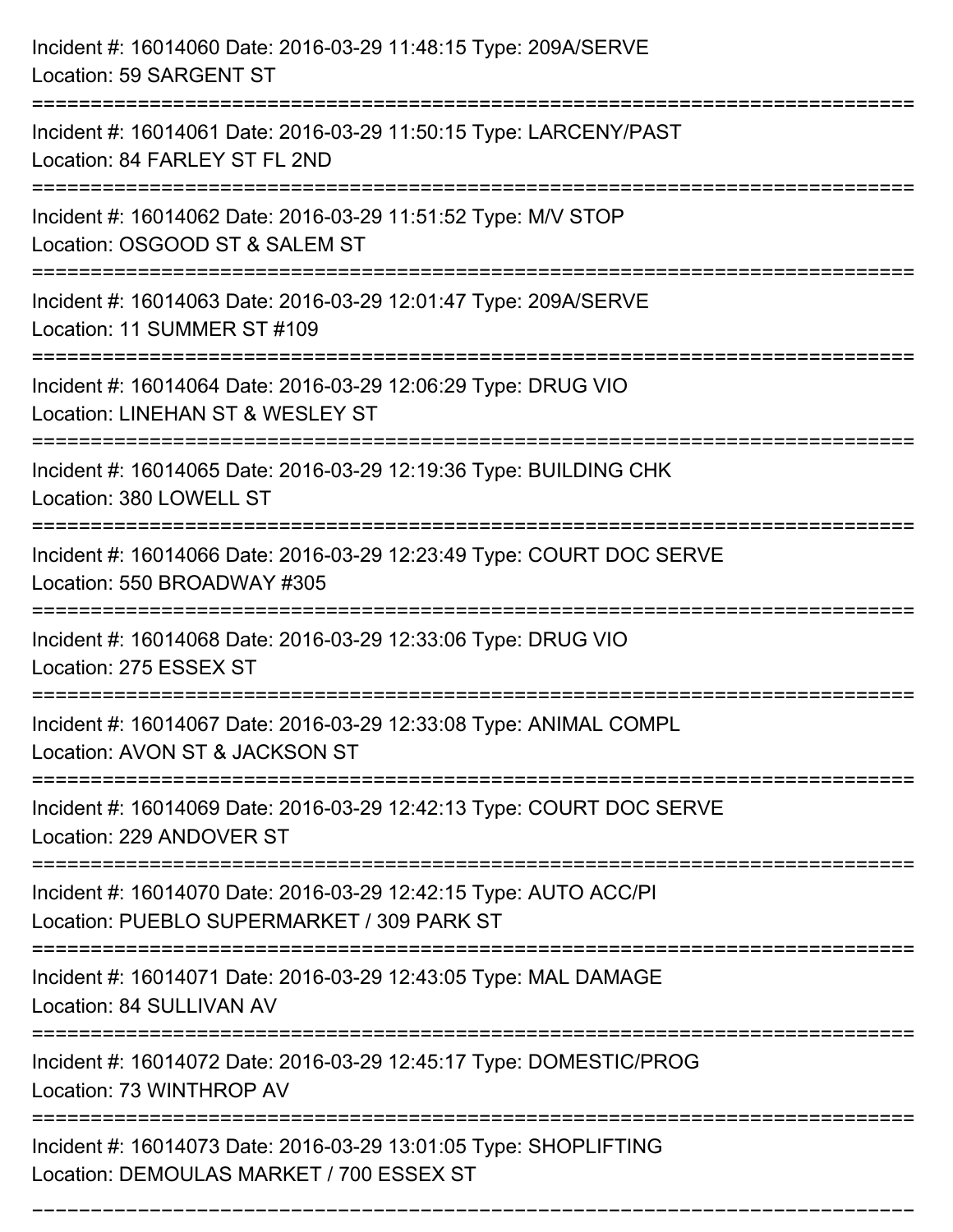| Incident #: 16014060 Date: 2016-03-29 11:48:15 Type: 209A/SERVE<br>Location: 59 SARGENT ST                                         |
|------------------------------------------------------------------------------------------------------------------------------------|
| ============================<br>Incident #: 16014061 Date: 2016-03-29 11:50:15 Type: LARCENY/PAST<br>Location: 84 FARLEY ST FL 2ND |
| Incident #: 16014062 Date: 2016-03-29 11:51:52 Type: M/V STOP<br>Location: OSGOOD ST & SALEM ST                                    |
| :===============================<br>Incident #: 16014063 Date: 2016-03-29 12:01:47 Type: 209A/SERVE<br>Location: 11 SUMMER ST #109 |
| Incident #: 16014064 Date: 2016-03-29 12:06:29 Type: DRUG VIO<br>Location: LINEHAN ST & WESLEY ST                                  |
| Incident #: 16014065 Date: 2016-03-29 12:19:36 Type: BUILDING CHK<br>Location: 380 LOWELL ST                                       |
| Incident #: 16014066 Date: 2016-03-29 12:23:49 Type: COURT DOC SERVE<br>Location: 550 BROADWAY #305                                |
| Incident #: 16014068 Date: 2016-03-29 12:33:06 Type: DRUG VIO<br>Location: 275 ESSEX ST                                            |
| Incident #: 16014067 Date: 2016-03-29 12:33:08 Type: ANIMAL COMPL<br>Location: AVON ST & JACKSON ST                                |
| Incident #: 16014069 Date: 2016-03-29 12:42:13 Type: COURT DOC SERVE<br>Location: 229 ANDOVER ST                                   |
| Incident #: 16014070 Date: 2016-03-29 12:42:15 Type: AUTO ACC/PI<br>Location: PUEBLO SUPERMARKET / 309 PARK ST                     |
| Incident #: 16014071 Date: 2016-03-29 12:43:05 Type: MAL DAMAGE<br>Location: 84 SULLIVAN AV                                        |
| Incident #: 16014072 Date: 2016-03-29 12:45:17 Type: DOMESTIC/PROG<br>Location: 73 WINTHROP AV                                     |
| Incident #: 16014073 Date: 2016-03-29 13:01:05 Type: SHOPLIFTING<br>Location: DEMOULAS MARKET / 700 ESSEX ST                       |

===========================================================================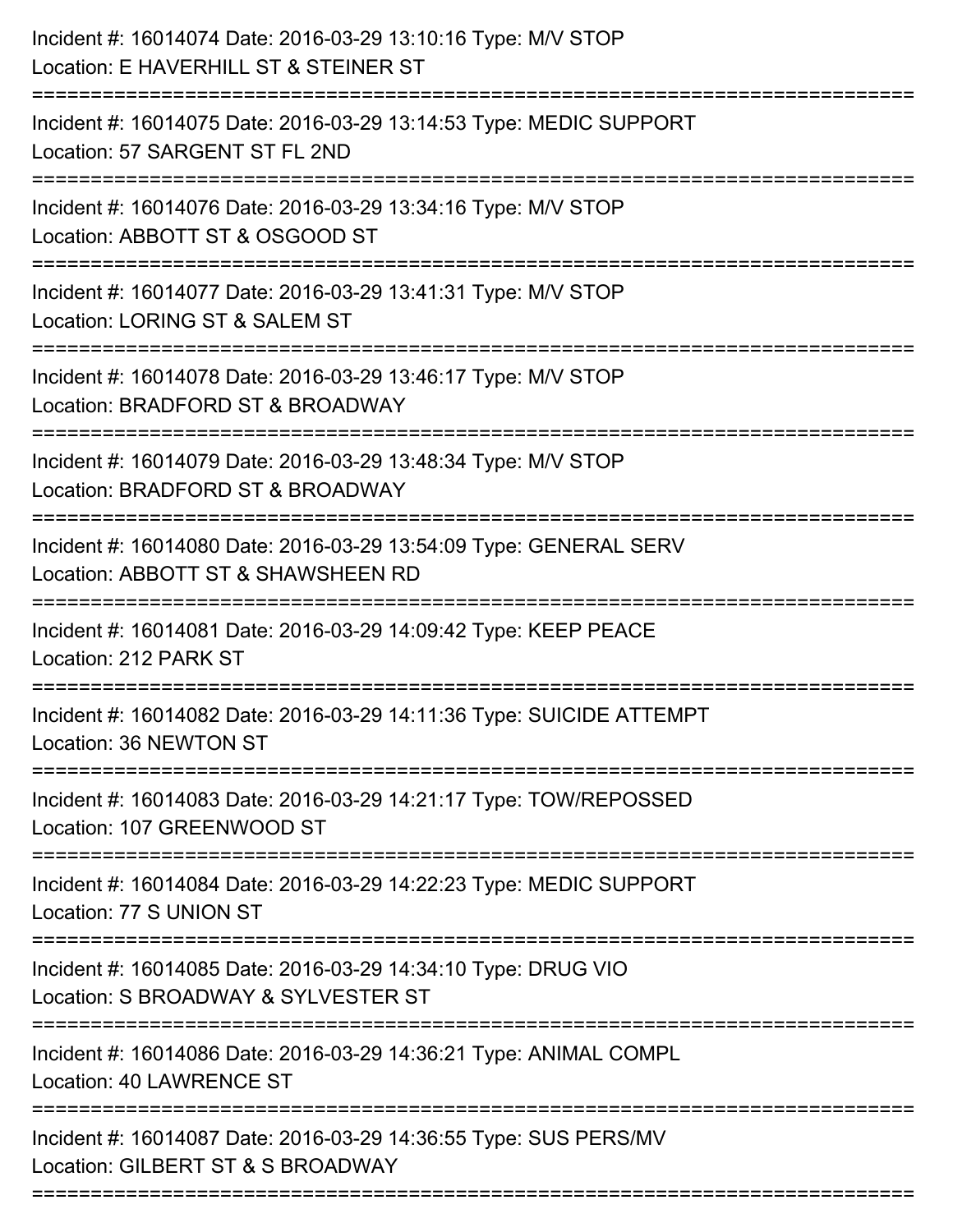| Incident #: 16014074 Date: 2016-03-29 13:10:16 Type: M/V STOP<br>Location: E HAVERHILL ST & STEINER ST<br>=======================       |
|-----------------------------------------------------------------------------------------------------------------------------------------|
| Incident #: 16014075 Date: 2016-03-29 13:14:53 Type: MEDIC SUPPORT<br>Location: 57 SARGENT ST FL 2ND                                    |
| Incident #: 16014076 Date: 2016-03-29 13:34:16 Type: M/V STOP<br>Location: ABBOTT ST & OSGOOD ST<br>=============================       |
| Incident #: 16014077 Date: 2016-03-29 13:41:31 Type: M/V STOP<br>Location: LORING ST & SALEM ST<br>.------------------------            |
| Incident #: 16014078 Date: 2016-03-29 13:46:17 Type: M/V STOP<br>Location: BRADFORD ST & BROADWAY                                       |
| Incident #: 16014079 Date: 2016-03-29 13:48:34 Type: M/V STOP<br>Location: BRADFORD ST & BROADWAY                                       |
| :===========================<br>Incident #: 16014080 Date: 2016-03-29 13:54:09 Type: GENERAL SERV<br>Location: ABBOTT ST & SHAWSHEEN RD |
| Incident #: 16014081 Date: 2016-03-29 14:09:42 Type: KEEP PEACE<br>Location: 212 PARK ST                                                |
| Incident #: 16014082 Date: 2016-03-29 14:11:36 Type: SUICIDE ATTEMPT<br>Location: 36 NEWTON ST                                          |
| Incident #: 16014083 Date: 2016-03-29 14:21:17 Type: TOW/REPOSSED<br>Location: 107 GREENWOOD ST                                         |
| Incident #: 16014084 Date: 2016-03-29 14:22:23 Type: MEDIC SUPPORT<br>Location: 77 S UNION ST                                           |
| Incident #: 16014085 Date: 2016-03-29 14:34:10 Type: DRUG VIO<br>Location: S BROADWAY & SYLVESTER ST                                    |
| Incident #: 16014086 Date: 2016-03-29 14:36:21 Type: ANIMAL COMPL<br>Location: 40 LAWRENCE ST                                           |
| Incident #: 16014087 Date: 2016-03-29 14:36:55 Type: SUS PERS/MV<br>Location: GILBERT ST & S BROADWAY                                   |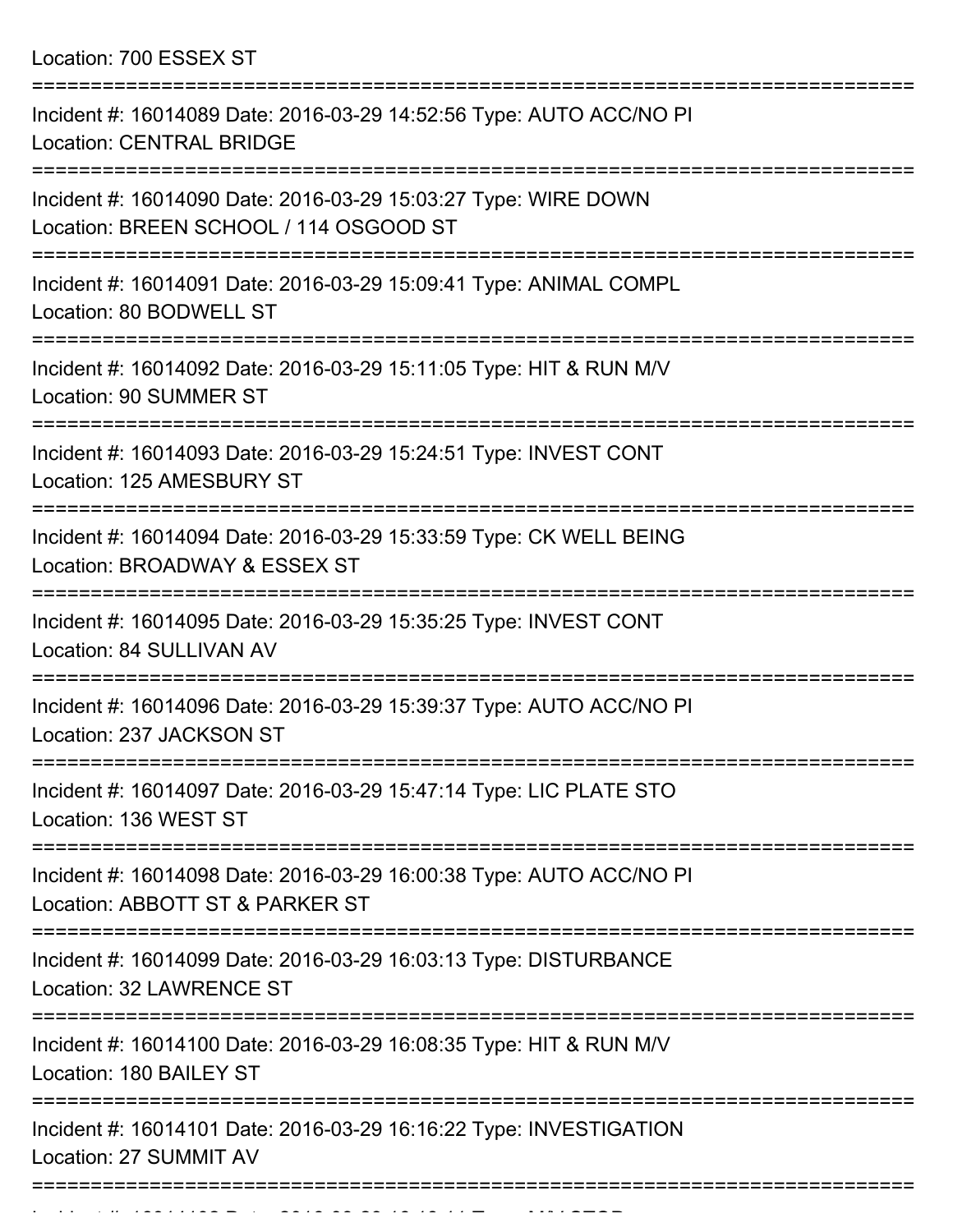Location: 700 ESSEX ST

| Incident #: 16014089 Date: 2016-03-29 14:52:56 Type: AUTO ACC/NO PI<br><b>Location: CENTRAL BRIDGE</b>                                      |
|---------------------------------------------------------------------------------------------------------------------------------------------|
| Incident #: 16014090 Date: 2016-03-29 15:03:27 Type: WIRE DOWN<br>Location: BREEN SCHOOL / 114 OSGOOD ST                                    |
| Incident #: 16014091 Date: 2016-03-29 15:09:41 Type: ANIMAL COMPL<br>Location: 80 BODWELL ST                                                |
| Incident #: 16014092 Date: 2016-03-29 15:11:05 Type: HIT & RUN M/V<br>Location: 90 SUMMER ST                                                |
| Incident #: 16014093 Date: 2016-03-29 15:24:51 Type: INVEST CONT<br>Location: 125 AMESBURY ST                                               |
| ====================================<br>Incident #: 16014094 Date: 2016-03-29 15:33:59 Type: CK WELL BEING<br>Location: BROADWAY & ESSEX ST |
| Incident #: 16014095 Date: 2016-03-29 15:35:25 Type: INVEST CONT<br>Location: 84 SULLIVAN AV                                                |
| ===============<br>Incident #: 16014096 Date: 2016-03-29 15:39:37 Type: AUTO ACC/NO PI<br>Location: 237 JACKSON ST                          |
| Incident #: 16014097 Date: 2016-03-29 15:47:14 Type: LIC PLATE STO<br>Location: 136 WEST ST                                                 |
| ===================<br>Incident #: 16014098 Date: 2016-03-29 16:00:38 Type: AUTO ACC/NO PI<br>Location: ABBOTT ST & PARKER ST               |
| Incident #: 16014099 Date: 2016-03-29 16:03:13 Type: DISTURBANCE<br>Location: 32 LAWRENCE ST                                                |
| Incident #: 16014100 Date: 2016-03-29 16:08:35 Type: HIT & RUN M/V<br>Location: 180 BAILEY ST                                               |
| Incident #: 16014101 Date: 2016-03-29 16:16:22 Type: INVESTIGATION<br>Location: 27 SUMMIT AV                                                |
|                                                                                                                                             |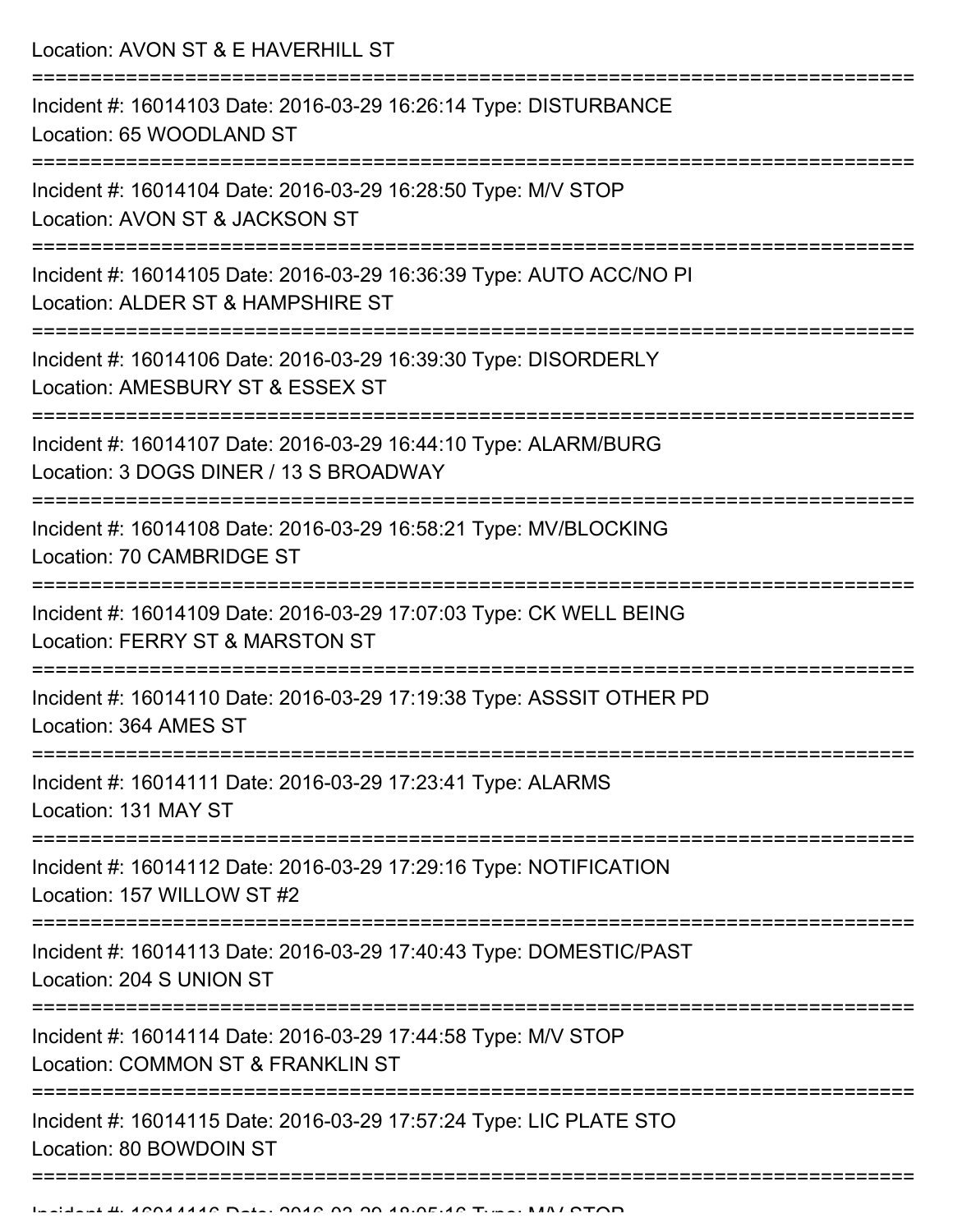Location: AVON ST & E HAVERHILL ST

=========================================================================== Incident #: 16014103 Date: 2016-03-29 16:26:14 Type: DISTURBANCE Location: 65 WOODLAND ST =========================================================================== Incident #: 16014104 Date: 2016-03-29 16:28:50 Type: M/V STOP Location: AVON ST & JACKSON ST =========================================================================== Incident #: 16014105 Date: 2016-03-29 16:36:39 Type: AUTO ACC/NO PI Location: ALDER ST & HAMPSHIRE ST =========================================================================== Incident #: 16014106 Date: 2016-03-29 16:39:30 Type: DISORDERLY Location: AMESBURY ST & ESSEX ST =========================================================================== Incident #: 16014107 Date: 2016-03-29 16:44:10 Type: ALARM/BURG Location: 3 DOGS DINER / 13 S BROADWAY =========================================================================== Incident #: 16014108 Date: 2016-03-29 16:58:21 Type: MV/BLOCKING Location: 70 CAMBRIDGE ST =========================================================================== Incident #: 16014109 Date: 2016-03-29 17:07:03 Type: CK WELL BEING Location: FERRY ST & MARSTON ST =========================================================================== Incident #: 16014110 Date: 2016-03-29 17:19:38 Type: ASSSIT OTHER PD Location: 364 AMES ST =========================================================================== Incident #: 16014111 Date: 2016-03-29 17:23:41 Type: ALARMS Location: 131 MAY ST =========================================================================== Incident #: 16014112 Date: 2016-03-29 17:29:16 Type: NOTIFICATION Location: 157 WILLOW ST #2 =========================================================================== Incident #: 16014113 Date: 2016-03-29 17:40:43 Type: DOMESTIC/PAST Location: 204 S UNION ST =========================================================================== Incident #: 16014114 Date: 2016-03-29 17:44:58 Type: M/V STOP Location: COMMON ST & FRANKLIN ST =========================================================================== Incident #: 16014115 Date: 2016-03-29 17:57:24 Type: LIC PLATE STO Location: 80 BOWDOIN ST ===========================================================================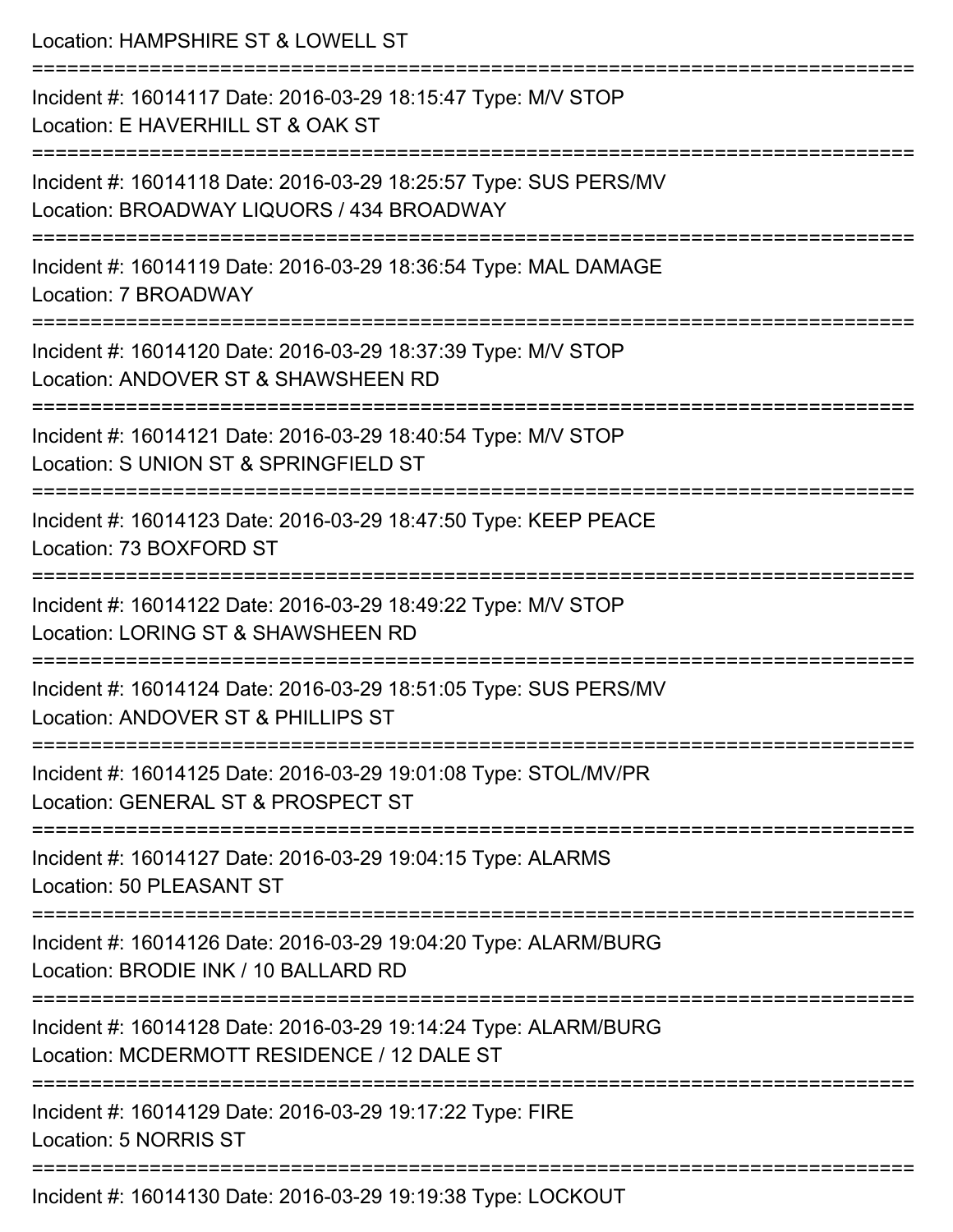| Location: HAMPSHIRE ST & LOWELL ST                                                                                              |
|---------------------------------------------------------------------------------------------------------------------------------|
| Incident #: 16014117 Date: 2016-03-29 18:15:47 Type: M/V STOP<br>Location: E HAVERHILL ST & OAK ST                              |
| Incident #: 16014118 Date: 2016-03-29 18:25:57 Type: SUS PERS/MV<br>Location: BROADWAY LIQUORS / 434 BROADWAY                   |
| Incident #: 16014119 Date: 2016-03-29 18:36:54 Type: MAL DAMAGE<br>Location: 7 BROADWAY                                         |
| Incident #: 16014120 Date: 2016-03-29 18:37:39 Type: M/V STOP<br>Location: ANDOVER ST & SHAWSHEEN RD                            |
| Incident #: 16014121 Date: 2016-03-29 18:40:54 Type: M/V STOP<br>Location: S UNION ST & SPRINGFIELD ST<br>:==================== |
| Incident #: 16014123 Date: 2016-03-29 18:47:50 Type: KEEP PEACE<br>Location: 73 BOXFORD ST                                      |
| Incident #: 16014122 Date: 2016-03-29 18:49:22 Type: M/V STOP<br>Location: LORING ST & SHAWSHEEN RD                             |
| Incident #: 16014124 Date: 2016-03-29 18:51:05 Type: SUS PERS/MV<br>Location: ANDOVER ST & PHILLIPS ST                          |
| Incident #: 16014125 Date: 2016-03-29 19:01:08 Type: STOL/MV/PR<br>Location: GENERAL ST & PROSPECT ST                           |
| Incident #: 16014127 Date: 2016-03-29 19:04:15 Type: ALARMS<br>Location: 50 PLEASANT ST                                         |
| Incident #: 16014126 Date: 2016-03-29 19:04:20 Type: ALARM/BURG<br>Location: BRODIE INK / 10 BALLARD RD                         |
| Incident #: 16014128 Date: 2016-03-29 19:14:24 Type: ALARM/BURG<br>Location: MCDERMOTT RESIDENCE / 12 DALE ST                   |
| Incident #: 16014129 Date: 2016-03-29 19:17:22 Type: FIRE<br>Location: 5 NORRIS ST                                              |
| $\frac{1}{2}$                                                                                                                   |

Incident #: 16014130 Date: 2016-03-29 19:19:38 Type: LOCKOUT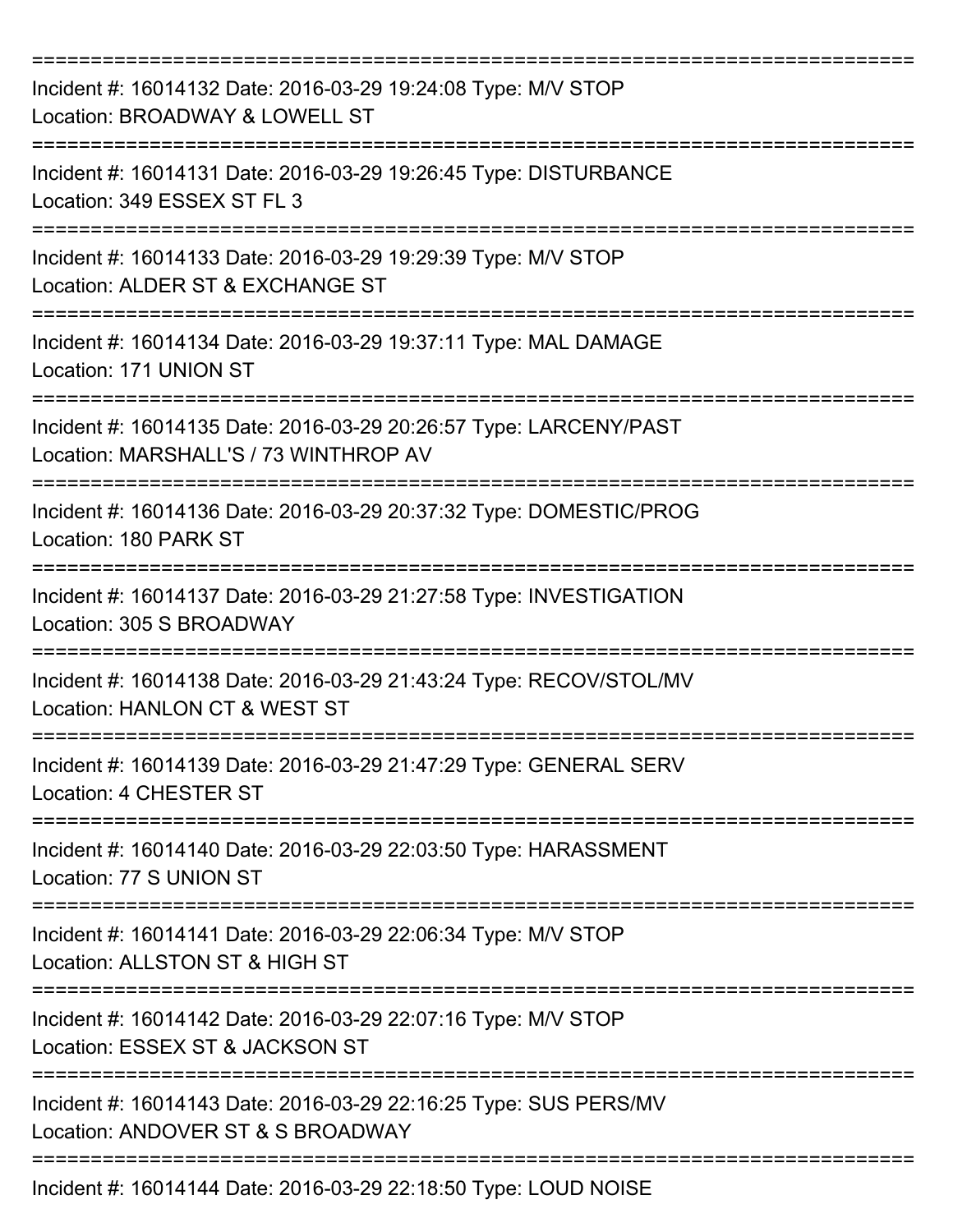| Incident #: 16014132 Date: 2016-03-29 19:24:08 Type: M/V STOP<br>Location: BROADWAY & LOWELL ST            |
|------------------------------------------------------------------------------------------------------------|
| Incident #: 16014131 Date: 2016-03-29 19:26:45 Type: DISTURBANCE<br>Location: 349 ESSEX ST FL 3            |
| Incident #: 16014133 Date: 2016-03-29 19:29:39 Type: M/V STOP<br>Location: ALDER ST & EXCHANGE ST          |
| Incident #: 16014134 Date: 2016-03-29 19:37:11 Type: MAL DAMAGE<br>Location: 171 UNION ST                  |
| Incident #: 16014135 Date: 2016-03-29 20:26:57 Type: LARCENY/PAST<br>Location: MARSHALL'S / 73 WINTHROP AV |
| Incident #: 16014136 Date: 2016-03-29 20:37:32 Type: DOMESTIC/PROG<br>Location: 180 PARK ST                |
| Incident #: 16014137 Date: 2016-03-29 21:27:58 Type: INVESTIGATION<br>Location: 305 S BROADWAY             |
| Incident #: 16014138 Date: 2016-03-29 21:43:24 Type: RECOV/STOL/MV<br>Location: HANLON CT & WEST ST        |
| Incident #: 16014139 Date: 2016-03-29 21:47:29 Type: GENERAL SERV<br>Location: 4 CHESTER ST                |
| Incident #: 16014140 Date: 2016-03-29 22:03:50 Type: HARASSMENT<br>Location: 77 S UNION ST                 |
| Incident #: 16014141 Date: 2016-03-29 22:06:34 Type: M/V STOP<br>Location: ALLSTON ST & HIGH ST            |
| Incident #: 16014142 Date: 2016-03-29 22:07:16 Type: M/V STOP<br>Location: ESSEX ST & JACKSON ST           |
| Incident #: 16014143 Date: 2016-03-29 22:16:25 Type: SUS PERS/MV<br>Location: ANDOVER ST & S BROADWAY      |
| Incident #: 16014144 Date: 2016-03-29 22:18:50 Type: LOUD NOISE                                            |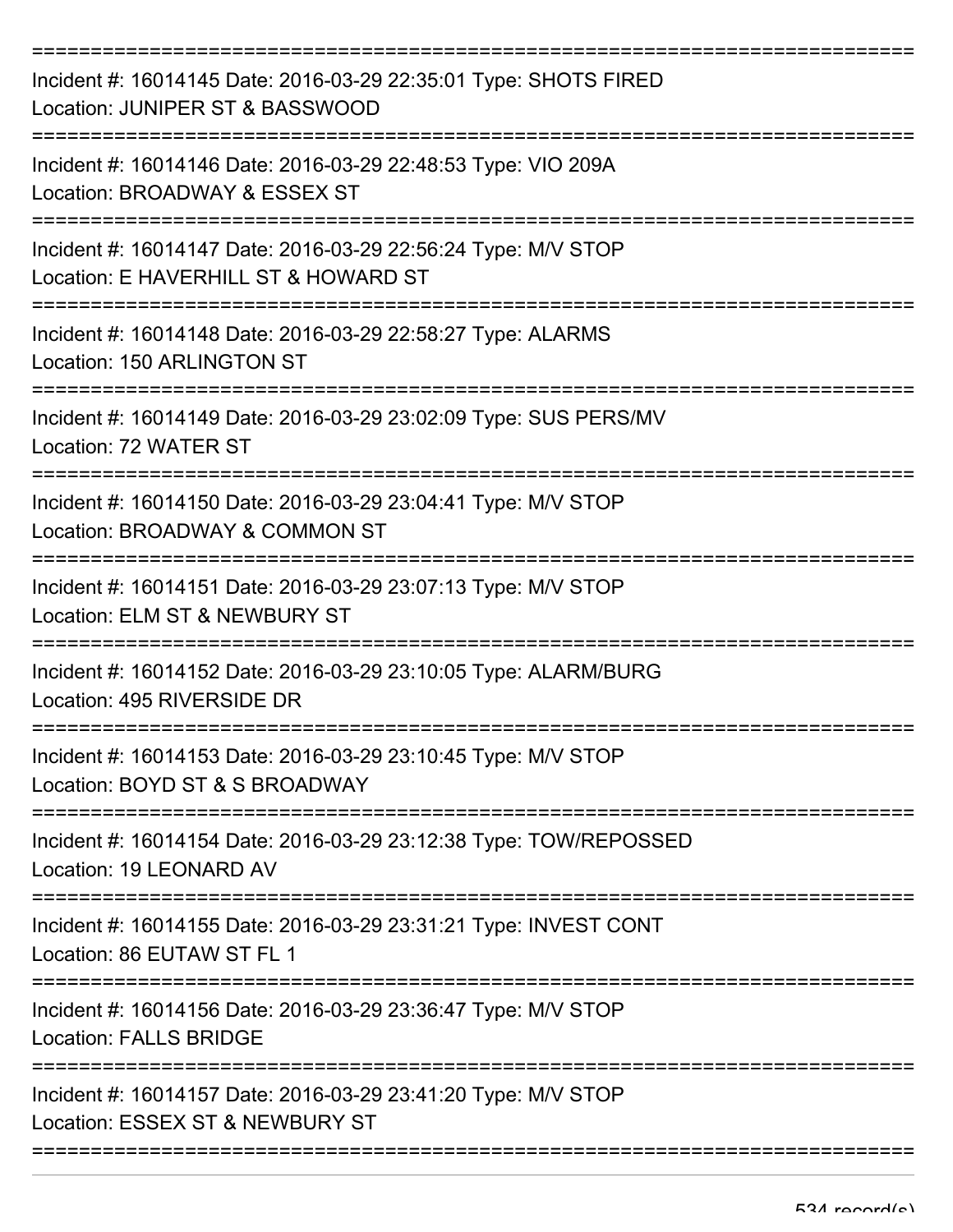| Incident #: 16014145 Date: 2016-03-29 22:35:01 Type: SHOTS FIRED<br>Location: JUNIPER ST & BASSWOOD   |
|-------------------------------------------------------------------------------------------------------|
| Incident #: 16014146 Date: 2016-03-29 22:48:53 Type: VIO 209A<br>Location: BROADWAY & ESSEX ST        |
| Incident #: 16014147 Date: 2016-03-29 22:56:24 Type: M/V STOP<br>Location: E HAVERHILL ST & HOWARD ST |
| Incident #: 16014148 Date: 2016-03-29 22:58:27 Type: ALARMS<br>Location: 150 ARLINGTON ST             |
| Incident #: 16014149 Date: 2016-03-29 23:02:09 Type: SUS PERS/MV<br>Location: 72 WATER ST             |
| Incident #: 16014150 Date: 2016-03-29 23:04:41 Type: M/V STOP<br>Location: BROADWAY & COMMON ST       |
| Incident #: 16014151 Date: 2016-03-29 23:07:13 Type: M/V STOP<br>Location: ELM ST & NEWBURY ST        |
| Incident #: 16014152 Date: 2016-03-29 23:10:05 Type: ALARM/BURG<br>Location: 495 RIVERSIDE DR         |
| Incident #: 16014153 Date: 2016-03-29 23:10:45 Type: M/V STOP<br>Location: BOYD ST & S BROADWAY       |
| Incident #: 16014154 Date: 2016-03-29 23:12:38 Type: TOW/REPOSSED<br>Location: 19 LEONARD AV          |
| Incident #: 16014155 Date: 2016-03-29 23:31:21 Type: INVEST CONT<br>Location: 86 EUTAW ST FL 1        |
| Incident #: 16014156 Date: 2016-03-29 23:36:47 Type: M/V STOP<br><b>Location: FALLS BRIDGE</b>        |
| Incident #: 16014157 Date: 2016-03-29 23:41:20 Type: M/V STOP<br>Location: ESSEX ST & NEWBURY ST      |
|                                                                                                       |